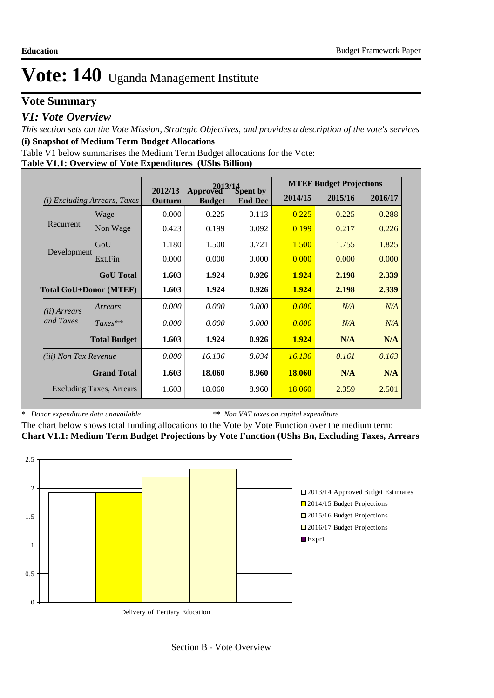## **Vote Summary**

### *V1: Vote Overview*

*This section sets out the Vote Mission, Strategic Objectives, and provides a description of the vote's services* **(i) Snapshot of Medium Term Budget Allocations** 

Table V1 below summarises the Medium Term Budget allocations for the Vote:

#### **Table V1.1: Overview of Vote Expenditures (UShs Billion)**

|                               |                                 |                    |                           | $2013/14$<br>ved $S$ pent by |               | <b>MTEF Budget Projections</b> |         |
|-------------------------------|---------------------------------|--------------------|---------------------------|------------------------------|---------------|--------------------------------|---------|
| (i)                           | <i>Excluding Arrears, Taxes</i> | 2012/13<br>Outturn | Approved<br><b>Budget</b> | <b>End Dec</b>               | 2014/15       | 2015/16                        | 2016/17 |
|                               | Wage                            | 0.000              | 0.225                     | 0.113                        | 0.225         | 0.225                          | 0.288   |
| Recurrent                     | Non Wage                        | 0.423              | 0.199                     | 0.092                        | 0.199         | 0.217                          | 0.226   |
|                               | GoU                             | 1.180              | 1.500                     | 0.721                        | 1.500         | 1.755                          | 1.825   |
| Development                   | Ext.Fin                         | 0.000              | 0.000                     | 0.000                        | 0.000         | 0.000                          | 0.000   |
|                               | <b>GoU</b> Total                | 1.603              | 1.924                     | 0.926                        | 1.924         | 2.198                          | 2.339   |
| <b>Total GoU+Donor (MTEF)</b> |                                 | 1.603              | 1.924                     | 0.926                        | 1.924         | 2.198                          | 2.339   |
| ( <i>ii</i> ) Arrears         | Arrears                         | 0.000              | 0.000                     | 0.000                        | 0.000         | N/A                            | N/A     |
| and Taxes                     | $Taxes**$                       | 0.000              | 0.000                     | 0.000                        | 0.000         | N/A                            | N/A     |
|                               | <b>Total Budget</b>             | 1.603              | 1.924                     | 0.926                        | 1.924         | N/A                            | N/A     |
| <i>(iii)</i> Non Tax Revenue  |                                 | 0.000              | 16.136                    | 8.034                        | 16.136        | 0.161                          | 0.163   |
|                               | <b>Grand Total</b>              | 1.603              | 18.060                    | 8.960                        | <b>18.060</b> | N/A                            | N/A     |
|                               | <b>Excluding Taxes, Arrears</b> | 1.603              | 18.060                    | 8.960                        | 18.060        | 2.359                          | 2.501   |

*\* Donor expenditure data unavailable*

*\*\* Non VAT taxes on capital expenditure*

The chart below shows total funding allocations to the Vote by Vote Function over the medium term: **Chart V1.1: Medium Term Budget Projections by Vote Function (UShs Bn, Excluding Taxes, Arrears**

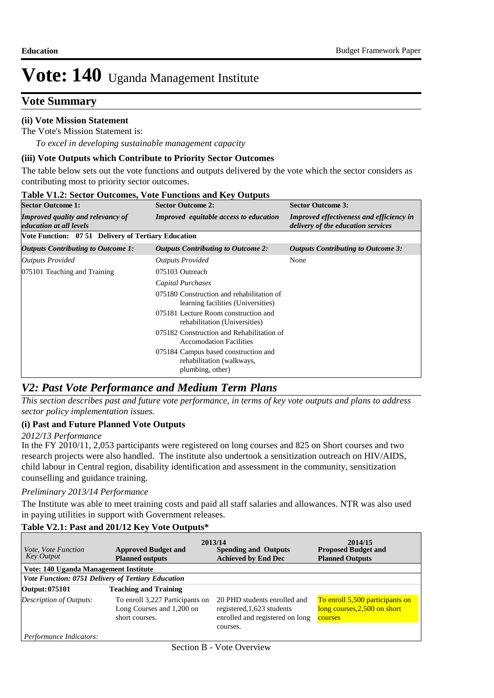## **Vote Summary**

### **(ii) Vote Mission Statement**

*To excel in developing sustainable management capacity* The Vote's Mission Statement is:

#### **(iii) Vote Outputs which Contribute to Priority Sector Outcomes**

The table below sets out the vote functions and outputs delivered by the vote which the sector considers as contributing most to priority sector outcomes.

| <b>Sector Outcome 1:</b>                                                   | <b>Sector Outcome 2:</b>                                                              | <b>Sector Outcome 3:</b>                                                              |  |  |
|----------------------------------------------------------------------------|---------------------------------------------------------------------------------------|---------------------------------------------------------------------------------------|--|--|
| <b>Improved quality and relevancy of</b><br><i>education at all levels</i> | <b>Improved</b> equitable access to education                                         | <b>Improved effectiveness and efficiency in</b><br>delivery of the education services |  |  |
| Vote Function: 07 51 Delivery of Tertiary Education                        |                                                                                       |                                                                                       |  |  |
| Outputs Contributing to Outcome 1:                                         | <b>Outputs Contributing to Outcome 2:</b>                                             | <b>Outputs Contributing to Outcome 3:</b>                                             |  |  |
| Outputs Provided                                                           | <b>Outputs Provided</b>                                                               | None                                                                                  |  |  |
| 075101 Teaching and Training                                               | 075103 Outreach                                                                       |                                                                                       |  |  |
|                                                                            | Capital Purchases                                                                     |                                                                                       |  |  |
|                                                                            | 075180 Construction and rehabilitation of<br>learning facilities (Universities)       |                                                                                       |  |  |
|                                                                            | 075181 Lecture Room construction and<br>rehabilitation (Universities)                 |                                                                                       |  |  |
|                                                                            | 075182 Construction and Rehabilitation of<br><b>Accomodation Facilities</b>           |                                                                                       |  |  |
|                                                                            | 075184 Campus based construction and<br>rehabilitation (walkways,<br>plumbing, other) |                                                                                       |  |  |

#### **Table V1.2: Sector Outcomes, Vote Functions and Key Outputs**

## *V2: Past Vote Performance and Medium Term Plans*

*This section describes past and future vote performance, in terms of key vote outputs and plans to address sector policy implementation issues.* 

#### **(i) Past and Future Planned Vote Outputs**

#### *2012/13 Performance*

In the FY 2010/11, 2,053 participants were registered on long courses and 825 on Short courses and two research projects were also handled. The institute also undertook a sensitization outreach on HIV/AIDS, child labour in Central region, disability identification and assessment in the community, sensitization counselling and guidance training.

#### *Preliminary 2013/14 Performance*

The Institute was able to meet training costs and paid all staff salaries and allowances. NTR was also used in paying utilities in support with Government releases.

### **Table V2.1: Past and 201/12 Key Vote Outputs\***

| <i>Vote, Vote Function</i><br><b>Key Output</b>    | <b>Approved Budget and</b><br><b>Planned outputs</b>                           | 2013/14<br><b>Spending and Outputs</b><br><b>Achieved by End Dec</b>                                      | 2014/15<br><b>Proposed Budget and</b><br><b>Planned Outputs</b>            |
|----------------------------------------------------|--------------------------------------------------------------------------------|-----------------------------------------------------------------------------------------------------------|----------------------------------------------------------------------------|
| Vote: 140 Uganda Management Institute              |                                                                                |                                                                                                           |                                                                            |
| Vote Function: 0751 Delivery of Tertiary Education |                                                                                |                                                                                                           |                                                                            |
| Output: 075101                                     | <b>Teaching and Training</b>                                                   |                                                                                                           |                                                                            |
| Description of Outputs:                            | To enroll 3,227 Participants on<br>Long Courses and 1,200 on<br>short courses. | 20 PHD students enrolled and<br>registered, 1,623 students<br>enrolled and registered on long<br>courses. | To enroll 5,500 participants on<br>long courses, 2,500 on short<br>courses |
| Performance Indicators:                            |                                                                                |                                                                                                           |                                                                            |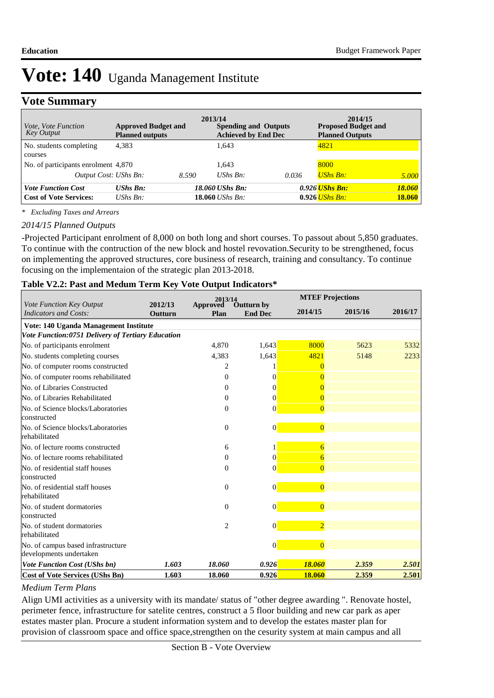## **Vote Summary**

| <i>Vote, Vote Function</i><br><b>Key Output</b> | <b>Approved Budget and</b><br><b>Planned outputs</b> | 2013/14 | <b>Spending and Outputs</b><br><b>Achieved by End Dec</b> |       | 2014/15<br><b>Proposed Budget and</b><br><b>Planned Outputs</b> |               |
|-------------------------------------------------|------------------------------------------------------|---------|-----------------------------------------------------------|-------|-----------------------------------------------------------------|---------------|
| No. students completing<br>courses              | 4.383                                                |         | 1.643                                                     |       | 4821                                                            |               |
| No. of participants enrolment 4,870             |                                                      |         | 1.643                                                     |       | 8000                                                            |               |
| Output Cost: UShs Bn:                           |                                                      | 8.590   | $UShs Bn$ :                                               | 0.036 | <b>UShs Bn:</b>                                                 | 5.000         |
| <b>Vote Function Cost</b>                       | <b>UShs Bn:</b>                                      |         | 18.060 UShs Bn:                                           |       | 0.926 <i>UShs Bn:</i>                                           | 18.060        |
| <b>Cost of Vote Services:</b>                   | UShs $B_n$ :                                         |         | $18.060$ UShs Bn:                                         |       | $0.926$ UShs Bn:                                                | <b>18.060</b> |

*\* Excluding Taxes and Arrears*

#### *2014/15 Planned Outputs*

-Projected Participant enrolment of 8,000 on both long and short courses. To passout about 5,850 graduates. To continue with the contruction of the new block and hostel revovation.Security to be strengthened, focus on implementing the approved structures, core business of research, training and consultancy. To continue focusing on the implementaion of the strategic plan 2013-2018.

#### **Table V2.2: Past and Medum Term Key Vote Output Indicators\***

|                                                                 |                    | 2013/14                 |                                     | <b>MTEF Projections</b> |         |         |
|-----------------------------------------------------------------|--------------------|-------------------------|-------------------------------------|-------------------------|---------|---------|
| <b>Vote Function Key Output</b><br><b>Indicators and Costs:</b> | 2012/13<br>Outturn | <b>Approved</b><br>Plan | <b>Outturn by</b><br><b>End Dec</b> | 2014/15                 | 2015/16 | 2016/17 |
| Vote: 140 Uganda Management Institute                           |                    |                         |                                     |                         |         |         |
| Vote Function:0751 Delivery of Tertiary Education               |                    |                         |                                     |                         |         |         |
| No. of participants enrolment                                   |                    | 4.870                   | 1,643                               | 8000                    | 5623    | 5332    |
| No. students completing courses                                 |                    | 4,383                   | 1,643                               | 4821                    | 5148    | 2233    |
| No. of computer rooms constructed                               |                    | 2                       |                                     | $\Omega$                |         |         |
| No. of computer rooms rehabilitated                             |                    | $\Omega$                | $\Omega$                            | $\Omega$                |         |         |
| No. of Libraries Constructed                                    |                    | $\Omega$                | $\Omega$                            | $\Omega$                |         |         |
| No. of Libraries Rehabilitated                                  |                    | $\mathbf{0}$            | $\Omega$                            | $\overline{0}$          |         |         |
| No. of Science blocks/Laboratories<br>constructed               |                    | $\Omega$                | $\Omega$                            | $\overline{0}$          |         |         |
| No. of Science blocks/Laboratories<br>rehabilitated             |                    | $\mathbf{0}$            | $\mathbf{0}$                        | $\overline{0}$          |         |         |
| No. of lecture rooms constructed                                |                    | 6                       |                                     | 6                       |         |         |
| No. of lecture rooms rehabilitated                              |                    | $\theta$                | $\Omega$                            | 6                       |         |         |
| No. of residential staff houses<br>constructed                  |                    | $\theta$                | $\mathbf{0}$                        | $\overline{0}$          |         |         |
| No. of residential staff houses<br>rehabilitated                |                    | $\overline{0}$          | $\mathbf{0}$                        | $\overline{0}$          |         |         |
| No. of student dormatories<br>constructed                       |                    | $\overline{0}$          | $\Omega$                            | $\overline{0}$          |         |         |
| No. of student dormatories<br>rehabilitated                     |                    | $\overline{2}$          | $\mathbf{0}$                        | $\overline{2}$          |         |         |
| No. of campus based infrastructure<br>developments undertaken   |                    |                         | $\overline{0}$                      | $\overline{0}$          |         |         |
| <b>Vote Function Cost (UShs bn)</b>                             | 1.603              | 18.060                  | 0.926                               | 18.060                  | 2.359   | 2.501   |
| <b>Cost of Vote Services (UShs Bn)</b>                          | 1.603              | 18.060                  | 0.926                               | 18.060                  | 2.359   | 2.501   |

#### *Medium Term Plans*

Align UMI activities as a university with its mandate/ status of "other degree awarding ". Renovate hostel, perimeter fence, infrastructure for satelite centres, construct a 5 floor building and new car park as aper estates master plan. Procure a student information system and to develop the estates master plan for provision of classroom space and office space,strengthen on the cesurity system at main campus and all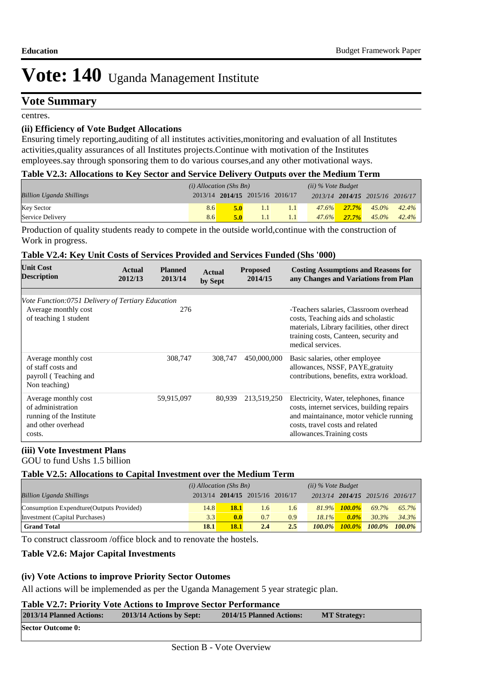### **Vote Summary**

centres.

#### **(ii) Efficiency of Vote Budget Allocations**

Ensuring timely reporting,auditing of all institutes activities,monitoring and evaluation of all Institutes activities,quality assurances of all Institutes projects.Continue with motivation of the Institutes employees.say through sponsoring them to do various courses,and any other motivational ways.

#### **Table V2.3: Allocations to Key Sector and Service Delivery Outputs over the Medium Term**

|                                 | $(i)$ Allocation (Shs Bn) |                                 |     |     | $(ii)$ % Vote Budget |                   |                                 |                   |
|---------------------------------|---------------------------|---------------------------------|-----|-----|----------------------|-------------------|---------------------------------|-------------------|
| <b>Billion Uganda Shillings</b> |                           | 2013/14 2014/15 2015/16 2016/17 |     |     |                      |                   | 2013/14 2014/15 2015/16 2016/17 |                   |
| Key Sector                      | 8.6                       | 5.0                             | 1.1 | 1.1 |                      | $47.6\%$ 27.7%    |                                 | $45.0\%$ $42.4\%$ |
| Service Delivery                | 8.6                       | 5.0                             |     |     |                      | $47.6\%$ $27.7\%$ |                                 | $45.0\%$ $42.4\%$ |

Production of quality students ready to compete in the outside world,continue with the construction of Work in progress.

#### **Table V2.4: Key Unit Costs of Services Provided and Services Funded (Shs '000)**

| <b>Unit Cost</b><br><b>Description</b>                                                                | Actual<br>2012/13 | <b>Planned</b><br>2013/14 | Actual<br>by Sept | <b>Proposed</b><br>2014/15 | <b>Costing Assumptions and Reasons for</b><br>any Changes and Variations from Plan                                                                                                                |
|-------------------------------------------------------------------------------------------------------|-------------------|---------------------------|-------------------|----------------------------|---------------------------------------------------------------------------------------------------------------------------------------------------------------------------------------------------|
|                                                                                                       |                   |                           |                   |                            |                                                                                                                                                                                                   |
| Vote Function:0751 Delivery of Tertiary Education                                                     |                   |                           |                   |                            |                                                                                                                                                                                                   |
| Average monthly cost<br>of teaching 1 student                                                         |                   | 276                       |                   |                            | -Teachers salaries, Classroom overhead<br>costs, Teaching aids and scholastic<br>materials, Library facilities, other direct<br>training costs, Canteen, security and<br>medical services.        |
| Average monthly cost<br>of staff costs and<br>payroll (Teaching and<br>Non teaching)                  |                   | 308,747                   | 308,747           | 450,000,000                | Basic salaries, other employee<br>allowances, NSSF, PAYE, gratuity<br>contributions, benefits, extra workload.                                                                                    |
| Average monthly cost<br>of administration<br>running of the Institute<br>and other overhead<br>costs. |                   | 59,915,097                | 80.939            | 213,519,250                | Electricity, Water, telephones, finance<br>costs, internet services, building repairs<br>and maintainance, motor vehicle running<br>costs, travel costs and related<br>allowances. Training costs |

#### **(iii) Vote Investment Plans**

GOU to fund Ushs 1.5 billion

#### **Table V2.5: Allocations to Capital Investment over the Medium Term**

|                                           | $(i)$ Allocation (Shs Bn) |             |                                 | $(ii)$ % Vote Budget |           |           |                                 |           |
|-------------------------------------------|---------------------------|-------------|---------------------------------|----------------------|-----------|-----------|---------------------------------|-----------|
| <b>Billion Uganda Shillings</b>           |                           |             | 2013/14 2014/15 2015/16 2016/17 |                      |           |           | 2013/14 2014/15 2015/16 2016/17 |           |
| Consumption Expendture (Outputs Provided) | 14.8                      | <b>18.1</b> | 1.6                             | $1.6^{\circ}$        | $81.9\%$  | $100.0\%$ | 69.7%                           | 65.7%     |
| Investment (Capital Purchases)            | 3.3                       | 0.0         | 0.7                             | 0.9                  | 18.1%     | $0.0\%$   | 30.3%                           | 34.3%     |
| <b>Grand Total</b>                        | 18.1                      | <b>18.1</b> | 2.4                             | 2.5                  | $100.0\%$ | $100.0\%$ | $100.0\%$                       | $100.0\%$ |

To construct classroom /office block and to renovate the hostels.

#### **Table V2.6: Major Capital Investments**

#### **(iv) Vote Actions to improve Priority Sector Outomes**

All actions will be implemended as per the Uganda Management 5 year strategic plan.

#### **Table V2.7: Priority Vote Actions to Improve Sector Performance**

| 2013/14 Planned Actions: | 2013/14 Actions by Sept: | 2014/15 Planned Actions: | <b>MT Strategy:</b> |  |
|--------------------------|--------------------------|--------------------------|---------------------|--|
| <b>Sector Outcome 0:</b> |                          |                          |                     |  |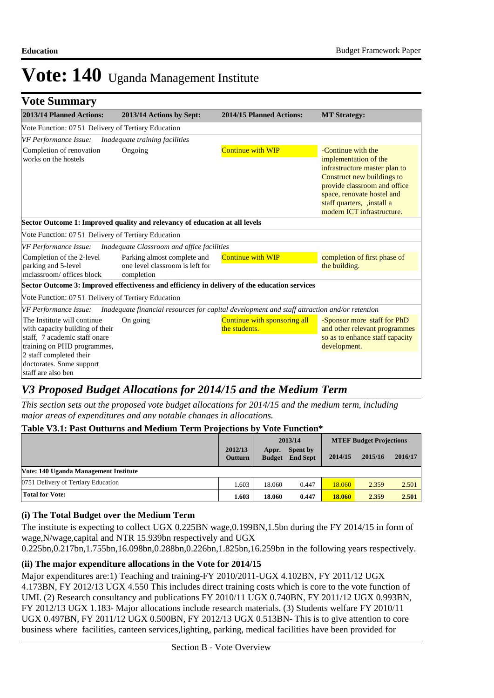| <b>Vote Summary</b>                                                                                                                                                                                         |                                                                                               |                                               |                                                                                                                                                                                                                                      |
|-------------------------------------------------------------------------------------------------------------------------------------------------------------------------------------------------------------|-----------------------------------------------------------------------------------------------|-----------------------------------------------|--------------------------------------------------------------------------------------------------------------------------------------------------------------------------------------------------------------------------------------|
| 2013/14 Planned Actions:                                                                                                                                                                                    | 2013/14 Actions by Sept:                                                                      | 2014/15 Planned Actions:                      | <b>MT Strategy:</b>                                                                                                                                                                                                                  |
| Vote Function: 07 51 Delivery of Tertiary Education                                                                                                                                                         |                                                                                               |                                               |                                                                                                                                                                                                                                      |
| <b>VF Performance Issue:</b>                                                                                                                                                                                | Inadequate training facilities                                                                |                                               |                                                                                                                                                                                                                                      |
| Completion of renovation<br>works on the hostels                                                                                                                                                            | Ongoing                                                                                       | <b>Continue with WIP</b>                      | -Continue with the<br>implementation of the<br>infrastructure master plan to<br>Construct new buildings to<br>provide classroom and office<br>space, renovate hostel and<br>staff quarters, ,install a<br>modern ICT infrastructure. |
|                                                                                                                                                                                                             | Sector Outcome 1: Improved quality and relevancy of education at all levels                   |                                               |                                                                                                                                                                                                                                      |
| Vote Function: 07 51 Delivery of Tertiary Education                                                                                                                                                         |                                                                                               |                                               |                                                                                                                                                                                                                                      |
| VF Performance Issue:                                                                                                                                                                                       | Inadequate Classroom and office facilities                                                    |                                               |                                                                                                                                                                                                                                      |
| Completion of the 2-level<br>parking and 5-level<br>mclassroom/ offices block                                                                                                                               | Parking almost complete and<br>one level classroom is left for<br>completion                  | <b>Continue with WIP</b>                      | completion of first phase of<br>the building.                                                                                                                                                                                        |
|                                                                                                                                                                                                             | Sector Outcome 3: Improved effectiveness and efficiency in delivery of the education services |                                               |                                                                                                                                                                                                                                      |
| Vote Function: 07 51 Delivery of Tertiary Education                                                                                                                                                         |                                                                                               |                                               |                                                                                                                                                                                                                                      |
| VF Performance Issue:                                                                                                                                                                                       | Inadequate financial resources for capital development and staff attraction and/or retention  |                                               |                                                                                                                                                                                                                                      |
| The Institute will continue<br>with capacity building of their<br>staff, 7 academic staff onare<br>training on PHD programmes,<br>2 staff completed their<br>doctorates. Some support<br>staff are also ben | On going                                                                                      | Continue with sponsoring all<br>the students. | -Sponsor more staff for PhD<br>and other relevant programmes<br>so as to enhance staff capacity<br>development.                                                                                                                      |

## *V3 Proposed Budget Allocations for 2014/15 and the Medium Term*

*This section sets out the proposed vote budget allocations for 2014/15 and the medium term, including major areas of expenditures and any notable changes in allocations.* 

#### **Table V3.1: Past Outturns and Medium Term Projections by Vote Function\***

|                                       |                           | 2013/14                |                                    | <b>MTEF Budget Projections</b> |         |         |
|---------------------------------------|---------------------------|------------------------|------------------------------------|--------------------------------|---------|---------|
|                                       | 2012/13<br><b>Outturn</b> | Appr.<br><b>Budget</b> | <b>Spent by</b><br><b>End Sept</b> | 2014/15                        | 2015/16 | 2016/17 |
| Vote: 140 Uganda Management Institute |                           |                        |                                    |                                |         |         |
| 0751 Delivery of Tertiary Education   | 1.603                     | 18.060                 | 0.447                              | 18.060                         | 2.359   | 2.501   |
| <b>Total for Vote:</b>                | 1.603                     | 18.060                 | 0.447                              | 18.060                         | 2.359   | 2.501   |

#### **(i) The Total Budget over the Medium Term**

The institute is expecting to collect UGX 0.225BN wage,0.199BN,1.5bn during the FY 2014/15 in form of wage,N/wage,capital and NTR 15.939bn respectively and UGX

0.225bn,0.217bn,1.755bn,16.098bn,0.288bn,0.226bn,1.825bn,16.259bn in the following years respectively.

#### **(ii) The major expenditure allocations in the Vote for 2014/15**

Major expenditures are:1) Teaching and training-FY 2010/2011-UGX 4.102BN, FY 2011/12 UGX 4.173BN, FY 2012/13 UGX 4.550 This includes direct training costs which is core to the vote function of UMI. (2) Research consultancy and publications FY 2010/11 UGX 0.740BN, FY 2011/12 UGX 0.993BN, FY 2012/13 UGX 1.183- Major allocations include research materials. (3) Students welfare FY 2010/11 UGX 0.497BN, FY 2011/12 UGX 0.500BN, FY 2012/13 UGX 0.513BN- This is to give attention to core business where facilities, canteen services,lighting, parking, medical facilities have been provided for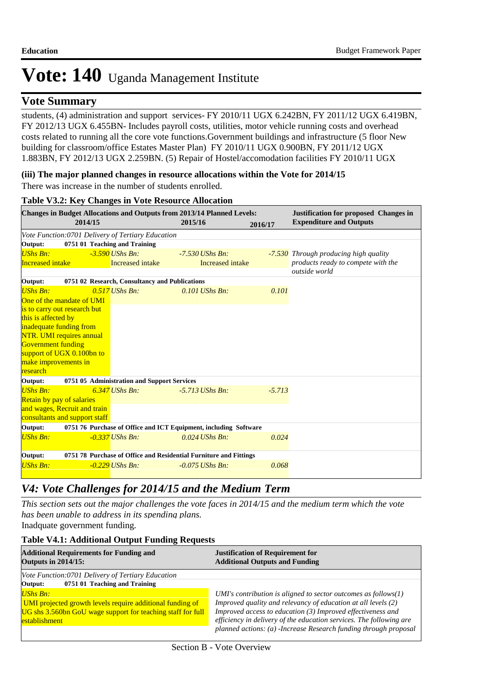## **Vote Summary**

students, (4) administration and support services- FY 2010/11 UGX 6.242BN, FY 2011/12 UGX 6.419BN, FY 2012/13 UGX 6.455BN- Includes payroll costs, utilities, motor vehicle running costs and overhead costs related to running all the core vote functions.Government buildings and infrastructure (5 floor New building for classroom/office Estates Master Plan) FY 2010/11 UGX 0.900BN, FY 2011/12 UGX 1.883BN, FY 2012/13 UGX 2.259BN. (5) Repair of Hostel/accomodation facilities FY 2010/11 UGX

#### **(iii) The major planned changes in resource allocations within the Vote for 2014/15** There was increase in the number of students enrolled.

| <b>Changes in Budget Allocations and Outputs from 2013/14 Planned Levels:</b><br>2014/15 |                               |                                                   | 2015/16                                                           | 2016/17  | <b>Justification for proposed Changes in</b><br><b>Expenditure and Outputs</b> |
|------------------------------------------------------------------------------------------|-------------------------------|---------------------------------------------------|-------------------------------------------------------------------|----------|--------------------------------------------------------------------------------|
|                                                                                          |                               | Vote Function:0701 Delivery of Tertiary Education |                                                                   |          |                                                                                |
| Output:                                                                                  |                               | 0751 01 Teaching and Training                     |                                                                   |          |                                                                                |
| <b>UShs Bn:</b>                                                                          |                               | $-3.590$ UShs Bn:                                 | $-7.530$ UShs Bn:                                                 |          | -7.530 Through producing high quality                                          |
| <b>Increased intake</b>                                                                  |                               | <b>Increased</b> intake                           | Increased intake                                                  |          | products ready to compete with the<br>outside world                            |
| Output:                                                                                  |                               | 0751 02 Research, Consultancy and Publications    |                                                                   |          |                                                                                |
| <b>UShs Bn:</b>                                                                          |                               | $0.517$ UShs Bn:                                  | $0.101$ UShs Bn:                                                  | 0.101    |                                                                                |
|                                                                                          | One of the mandate of UMI     |                                                   |                                                                   |          |                                                                                |
|                                                                                          | is to carry out research but  |                                                   |                                                                   |          |                                                                                |
| this is affected by                                                                      |                               |                                                   |                                                                   |          |                                                                                |
| inadequate funding from                                                                  |                               |                                                   |                                                                   |          |                                                                                |
|                                                                                          | NTR. UMI requires annual      |                                                   |                                                                   |          |                                                                                |
| <b>Government funding</b>                                                                |                               |                                                   |                                                                   |          |                                                                                |
|                                                                                          | support of UGX 0.100bn to     |                                                   |                                                                   |          |                                                                                |
| make improvements in<br>research                                                         |                               |                                                   |                                                                   |          |                                                                                |
| Output:                                                                                  |                               | 0751 05 Administration and Support Services       |                                                                   |          |                                                                                |
| <b>UShs Bn:</b>                                                                          |                               | $6.347$ UShs Bn:                                  | $-5.713$ UShs Bn:                                                 | $-5.713$ |                                                                                |
| Retain by pay of salaries                                                                |                               |                                                   |                                                                   |          |                                                                                |
|                                                                                          | and wages, Recruit and train  |                                                   |                                                                   |          |                                                                                |
|                                                                                          | consultants and support staff |                                                   |                                                                   |          |                                                                                |
| Output:                                                                                  |                               |                                                   | 0751 76 Purchase of Office and ICT Equipment, including Software  |          |                                                                                |
| <b>UShs Bn:</b>                                                                          |                               | $-0.337$ UShs Bn:                                 | $0.024$ UShs Bn:                                                  | 0.024    |                                                                                |
| Output:                                                                                  |                               |                                                   | 0751 78 Purchase of Office and Residential Furniture and Fittings |          |                                                                                |
| <b>UShs Bn:</b>                                                                          |                               | $-0.229$ UShs Bn:                                 | $-0.075$ UShs Bn:                                                 | 0.068    |                                                                                |

### **Table V3.2: Key Changes in Vote Resource Allocation**

## *V4: Vote Challenges for 2014/15 and the Medium Term*

Inadquate government funding. *This section sets out the major challenges the vote faces in 2014/15 and the medium term which the vote has been unable to address in its spending plans.*

## **Table V4.1: Additional Output Funding Requests**

| <b>Additional Requirements for Funding and</b><br><b>Outputs in 2014/15:</b> | <b>Justification of Requirement for</b><br><b>Additional Outputs and Funding</b> |  |  |  |
|------------------------------------------------------------------------------|----------------------------------------------------------------------------------|--|--|--|
| Vote Function:0701 Delivery of Tertiary Education                            |                                                                                  |  |  |  |
| 0751 01 Teaching and Training<br>Output:                                     |                                                                                  |  |  |  |
| UShs Bn:                                                                     | UMI's contribution is aligned to sector outcomes as follows(1)                   |  |  |  |
| UMI projected growth levels require additional funding of                    | Improved quality and relevancy of education at all levels (2)                    |  |  |  |
| UG shs 3.560bn GoU wage support for teaching staff for full                  | Improved access to education $(3)$ Improved effectiveness and                    |  |  |  |
| establishment                                                                | efficiency in delivery of the education services. The following are              |  |  |  |
|                                                                              | planned actions: (a) -Increase Research funding through proposal                 |  |  |  |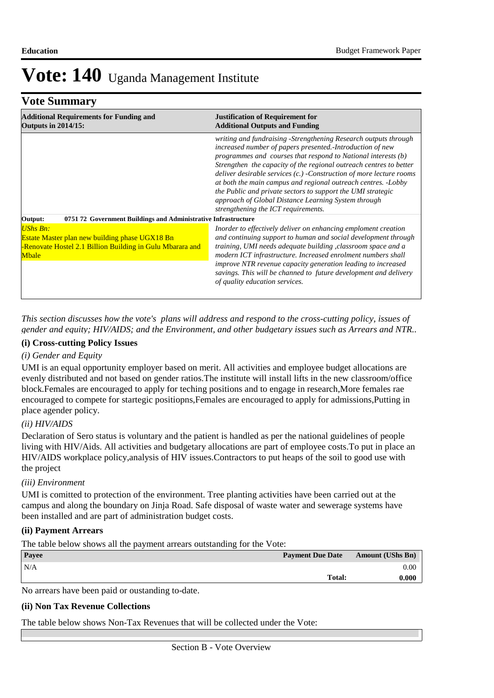### **Vote Summary**

| <b>Additional Requirements for Funding and</b><br><b>Outputs in 2014/15:</b>                                                                          | <b>Justification of Requirement for</b><br><b>Additional Outputs and Funding</b>                                                                                                                                                                                                                                                                                                                                                                                                                                                                                           |  |  |
|-------------------------------------------------------------------------------------------------------------------------------------------------------|----------------------------------------------------------------------------------------------------------------------------------------------------------------------------------------------------------------------------------------------------------------------------------------------------------------------------------------------------------------------------------------------------------------------------------------------------------------------------------------------------------------------------------------------------------------------------|--|--|
|                                                                                                                                                       | writing and fundraising -Strengthening Research outputs through<br>increased number of papers presented.-Introduction of new<br>programmes and courses that respond to National interests (b)<br>Strengthen the capacity of the regional outreach centres to better<br>deliver desirable services $(c.)$ -Construction of more lecture rooms<br>at both the main campus and regional outreach centres. -Lobby<br>the Public and private sectors to support the UMI strategic<br>approach of Global Distance Learning System through<br>strengthening the ICT requirements. |  |  |
| Output:<br>0751 72 Government Buildings and Administrative Infrastructure                                                                             |                                                                                                                                                                                                                                                                                                                                                                                                                                                                                                                                                                            |  |  |
| <b>UShs Bn:</b><br><b>Estate Master plan new building phase UGX18 Bn</b><br>-Renovate Hostel 2.1 Billion Building in Gulu Mbarara and<br><b>Mbale</b> | Inorder to effectively deliver on enhancing emploment creation<br>and continuing support to human and social development through<br>training, UMI needs adequate building, classroom space and a<br>modern ICT infrastructure. Increased enrolment numbers shall<br><i>improve NTR revenue capacity generation leading to increased</i><br>savings. This will be channed to future development and delivery<br>of quality education services.                                                                                                                              |  |  |

*This section discusses how the vote's plans will address and respond to the cross-cutting policy, issues of gender and equity; HIV/AIDS; and the Environment, and other budgetary issues such as Arrears and NTR..* 

#### **(i) Cross-cutting Policy Issues**

### *(i) Gender and Equity*

UMI is an equal opportunity employer based on merit. All activities and employee budget allocations are evenly distributed and not based on gender ratios.The institute will install lifts in the new classroom/office block.Females are encouraged to apply for teching positions and to engage in research,More females rae encouraged to compete for startegic positiopns,Females are encouraged to apply for admissions,Putting in place agender policy.

### *(ii) HIV/AIDS*

Declaration of Sero status is voluntary and the patient is handled as per the national guidelines of people living with HIV/Aids. All activities and budgetary allocations are part of employee costs.To put in place an HIV/AIDS workplace policy,analysis of HIV issues.Contractors to put heaps of the soil to good use with the project

#### *(iii) Environment*

UMI is comitted to protection of the environment. Tree planting activities have been carried out at the campus and along the boundary on Jinja Road. Safe disposal of waste water and sewerage systems have been installed and are part of administration budget costs.

### **(ii) Payment Arrears**

The table below shows all the payment arrears outstanding for the Vote:

| Payee                                                                  | <b>Payment Due Date</b> | <b>Amount (UShs Bn)</b> |
|------------------------------------------------------------------------|-------------------------|-------------------------|
| N/A                                                                    |                         | 0.00                    |
|                                                                        | Total:                  | 0.000                   |
| the contract of the contract of the<br>the contract of the contract of |                         |                         |

No arrears have been paid or oustanding to-date.

#### **(ii) Non Tax Revenue Collections**

The table below shows Non-Tax Revenues that will be collected under the Vote: